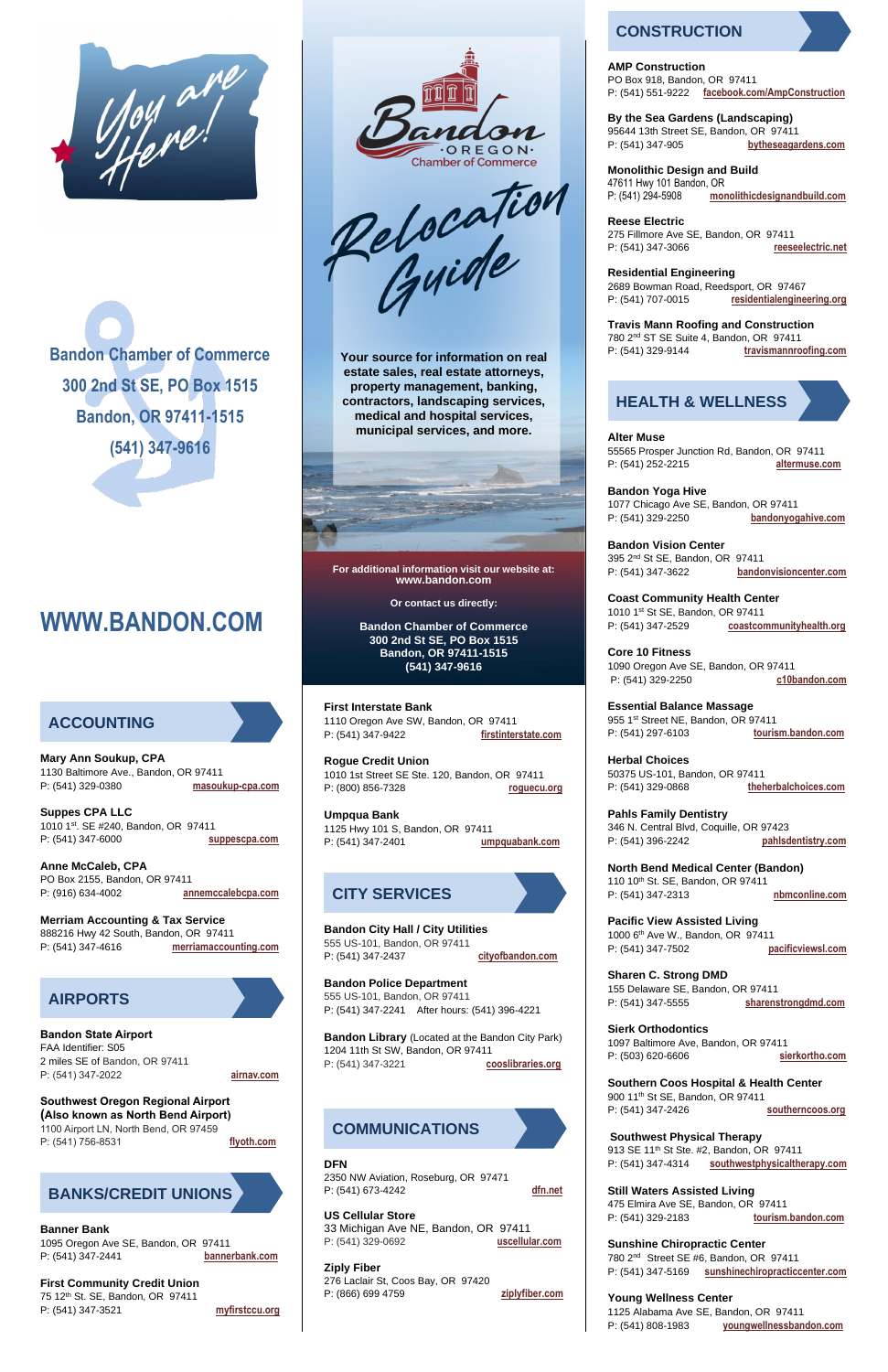

**Bandon Chamber of Commerce 300 2nd St SE, PO Box 1515 Bandon, OR 97411-1515 (541) 347-9616**

# **WWW.BANDON.COM**

**Mary Ann Soukup, CPA**  1130 Baltimore Ave., Bandon, OR 97411 P: (541) 329-0380 **masoukup-cpa.com**

**Suppes CPA LLC**  1010 1st. SE #240, Bandon, OR 97411 P: (541) 347-6000 **suppescpa.com**

**Anne McCaleb, CPA** PO Box 2155, Bandon, OR 97411 P: (916) 634-4002 **annemccalebcpa.com**

**Merriam Accounting & Tax Service**  888216 Hwy 42 South, Bandon, OR 97411 P: (541) 347-4616 **merriamaccounting.com**

75 12<sup>th</sup> St. SE, Bandon, OR 97411 P: (541) 347-3521 **myfirstccu.org**

**Bandon State Airport** 

FAA Identifier: S05 2 miles SE of Bandon, OR 97411 P: (541) 347-2022 **airnav.com**

#### **Southwest Oregon Regional Airport (Also known as North Bend Airport)**

1100 Airport LN, North Bend, OR 97459 P: (541) 756-8531 **flyoth.com**

#### **Banner Bank**

1095 Oregon Ave SE, Bandon, OR 97411 P: (541) 347-2441 **bannerbank.com**

#### **First Community Credit Union**

**Your source for information on real estate sales, real estate attorneys, property management, banking, contractors, landscaping services, medical and hospital services, municipal services, and more.**



**For additional information visit our website at: www.bandon.com** 

**Or contact us directly:**

**Bandon Chamber of Commerce 300 2nd St SE, PO Box 1515 Bandon, OR 97411-1515 (541) 347-9616**

**First Interstate Bank** 1110 Oregon Ave SW, Bandon, OR 97411 P: (541) 347-9422 **firstinterstate.com**

**Rogue Credit Union** 1010 1st Street SE Ste. 120, Bandon, OR 97411 P: (800) 856-7328 **roguecu.org**

**Umpqua Bank** 1125 Hwy 101 S, Bandon, OR 97411 P: (541) 347-2401 **umpquabank.com**

**Bandon City Hall / City Utilities**  555 US-101, Bandon, OR 97411 P: (541) 347-2437 **cityofbandon.com**

**Bandon Police Department** 555 US-101, Bandon, OR 97411

P: (541) 347-2241 After hours: (541) 396-4221

**Bandon Library** (Located at the Bandon City Park) 1204 11th St SW, Bandon, OR 97411 P: (541) 347-3221 **cooslibraries.org** 

### **DFN**

2350 NW Aviation, Roseburg, OR 97471 P: (541) 673-4242 **dfn.net**

#### **US Cellular Store**

33 Michigan Ave NE, Bandon, OR 97411 P: (541) 329-0692 **uscellular.com**

#### **Ziply Fiber**

276 Laclair St, Coos Bay, OR 97420 P: (866) 699 4759 **ziplyfiber.com**

#### **AMP Construction**

PO Box 918, Bandon, OR 97411 P: (541) 551-9222 **facebook.com/AmpConstruction**

**By the Sea Gardens (Landscaping)**

95644 13th Street SE, Bandon, OR 97411 P: (541) 347-905 **bytheseagardens.com**

**Monolithic Design and Build** 47611 Hwy 101 Bandon, OR P: (541) 294-5908 **monolithicdesignandbuild.com**

**Reese Electric**

275 Fillmore Ave SE, Bandon, OR 97411 P: (541) 347-3066 **reeseelectric.net**

**Residential Engineering**

2689 Bowman Road, [Reedsport,](https://www.google.com/maps?q=2689%20Bowman%20Road,%20Reedsport,%20OR,%2097467) OR 97467 P: (541) [707-0015](tel:5417070015) **residentialengineering.org** 

**Travis Mann Roofing and Construction**  780 2nd ST SE Suite 4, Bandon, OR 97411 P: (541) 329-9144 **travismannroofing.com**

**Alter Muse** 55565 Prosper Junction Rd, Bandon, OR 97411 P: (541) 252-2215 **altermuse.com**

**Bandon Yoga Hive** 1077 Chicago Ave SE, Bandon, OR 97411 P: (541) 329-2250 **bandonyogahive.com**

**Bandon Vision Center**  395 2nd St SE, Bandon, OR 97411 P: (541) 347-3622 **bandonvisioncenter.com**

**Coast Community Health Center** 1010 1st St SE, Bandon, OR 97411 P: (541) 347-2529 **coastcommunityhealth.org**

**Core 10 Fitness**  1090 Oregon Ave SE, Bandon, OR 97411 P: (541) 329-2250 **c10bandon.com**

**Essential Balance Massage**  955 1st Street NE, Bandon, OR 97411 P: (541) 297-6103 **tourism.bandon.com**

**Herbal Choices**  50375 US-101, Bandon, OR 97411 P: (541) 329-0868 **theherbalchoices.com**

**Pahls Family Dentistry**  346 N. Central Blvd, Coquille, OR 97423 P: (541) 396-2242 **pahlsdentistry.com**

**North Bend Medical Center (Bandon)** 110 10th St. SE, Bandon, OR 97411 P: (541) 347-2313 **nbmconline.com**

**Pacific View Assisted Living**  1000 6th Ave W., Bandon, OR 97411 P: (541) 347-7502 **pacificviewsl.com**

**Sharen C. Strong DMD**  155 Delaware SE, Bandon, OR 97411 P: (541) 347-5555 **sharenstrongdmd.com**

# **Sierk Orthodontics**

1097 Baltimore Ave, Bandon, OR 97411 P: (503) 620-6606 **sierkortho.com** 

#### **Southern Coos Hospital & Health Center**  900 11th St SE, Bandon, OR 97411 P: (541) 347-2426 **southerncoos.org**

**Southwest Physical Therapy** 913 SE 11<sup>th</sup> St Ste. #2, Bandon, OR 97411 P: (541) 347-4314 **southwestphysicaltherapy.com**

#### **Still Waters Assisted Living**

475 Elmira Ave SE, Bandon, OR 97411 P: (541) 329-2183 **tourism.bandon.com**

#### **Sunshine Chiropractic Center**

780 2nd Street SE #6, Bandon, OR 97411 P: (541) 347-5169 **sunshinechiropracticcenter.com** 

#### **Young Wellness Center**

1125 Alabama Ave SE, Bandon, OR 97411 P: (541) 808-1983 **youngwellnessbandon.com**

# **ACCOUNTING**





Relocation

# **BANKS/CREDIT UNIONS**

# **CITY SERVICES**

### **COMMUNICATIONS**

# **CONSTRUCTION**

# **HEALTH & WELLNESS**